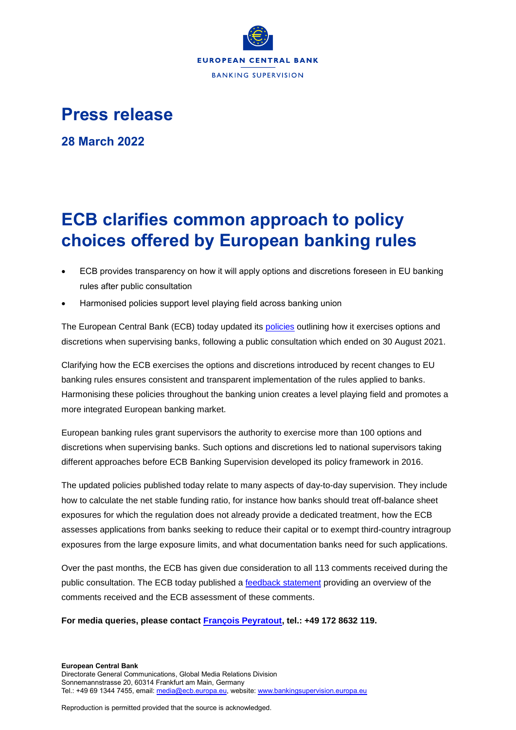

## **Press release**

**28 March 2022**

## **ECB clarifies common approach to policy choices offered by European banking rules**

- ECB provides transparency on how it will apply options and discretions foreseen in EU banking rules after public consultation
- Harmonised policies support level playing field across banking union

The European Central Bank (ECB) today updated its **policies** outlining how it exercises options and discretions when supervising banks, following a public consultation which ended on 30 August 2021.

Clarifying how the ECB exercises the options and discretions introduced by recent changes to EU banking rules ensures consistent and transparent implementation of the rules applied to banks. Harmonising these policies throughout the banking union creates a level playing field and promotes a more integrated European banking market.

European banking rules grant supervisors the authority to exercise more than 100 options and discretions when supervising banks. Such options and discretions led to national supervisors taking different approaches before ECB Banking Supervision developed its policy framework in 2016.

The updated policies published today relate to many aspects of day-to-day supervision. They include how to calculate the net stable funding ratio, for instance how banks should treat off-balance sheet exposures for which the regulation does not already provide a dedicated treatment, how the ECB assesses applications from banks seeking to reduce their capital or to exempt third-country intragroup exposures from the large exposure limits, and what documentation banks need for such applications.

Over the past months, the ECB has given due consideration to all 113 comments received during the public consultation. The ECB today published a **feedback statement** providing an overview of the comments received and the ECB assessment of these comments.

**For media queries, please contact [François Peyratout,](mailto:francois.peyratout@ecb.europa.eu) tel.: +49 172 8632 119.**

Reproduction is permitted provided that the source is acknowledged.